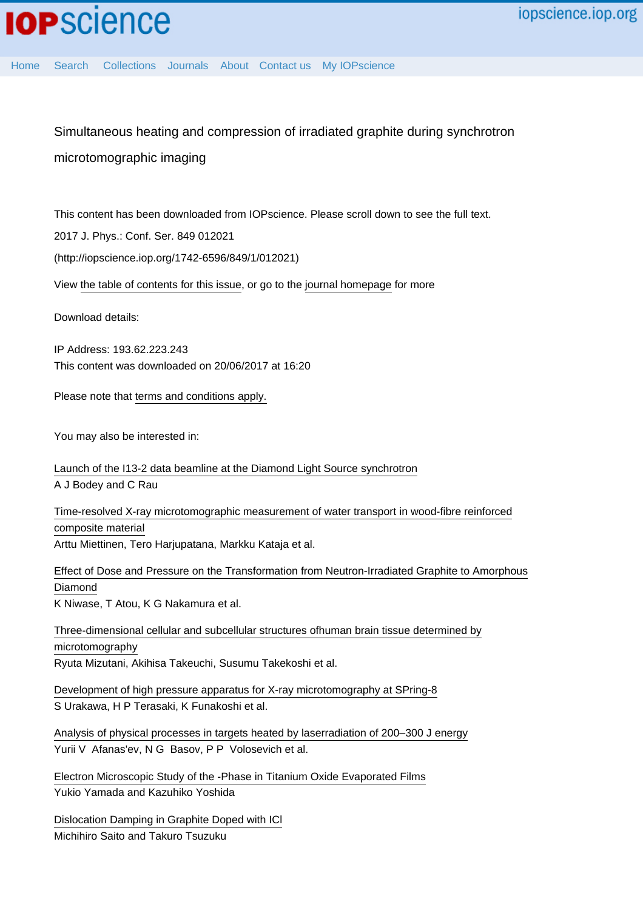Simultaneous heating and compression of irradiated graphite during synchrotron microtomographic imaging

This content has been downloaded from IOPscience. Please scroll down to see the full text.

2017 J. Phys.: Conf. Ser. 849 012021

(http://iopscience.iop.org/1742-6596/849/1/012021)

View [the table of contents for this issue](http://iopscience.iop.org/1742-6596/849/1), or go to the [journal homepage](http://iopscience.iop.org/1742-6596) for more

Download details:

IP Address: 193.62.223.243 This content was downloaded on 20/06/2017 at 16:20

Please note that [terms and conditions apply.](http://iopscience.iop.org/page/terms)

You may also be interested in:

[Launch of the I13-2 data beamline at the Diamond Light Source synchrotron](http://iopscience.iop.org/article/10.1088/1742-6596/849/1/012038) A J Bodey and C Rau

[Time-resolved X-ray microtomographic measurement of water transport in wood-fibre reinforced](http://iopscience.iop.org/article/10.1088/1757-899X/139/1/012037) [composite material](http://iopscience.iop.org/article/10.1088/1757-899X/139/1/012037) Arttu Miettinen, Tero Harjupatana, Markku Kataja et al.

[Effect of Dose and Pressure on the Transformation from Neutron-Irradiated Graphite to Amorphous](http://iopscience.iop.org/article/10.1088/1742-6596/377/1/012026) [Diamond](http://iopscience.iop.org/article/10.1088/1742-6596/377/1/012026) K Niwase, T Atou, K G Nakamura et al.

[Three-dimensional cellular and subcellular structures ofhuman brain tissue determined by](http://iopscience.iop.org/article/10.1088/1742-6596/186/1/012108) [microtomography](http://iopscience.iop.org/article/10.1088/1742-6596/186/1/012108) Ryuta Mizutani, Akihisa Takeuchi, Susumu Takekoshi et al.

[Development of high pressure apparatus for X-ray microtomography at SPring-8](http://iopscience.iop.org/article/10.1088/1742-6596/215/1/012026) S Urakawa, H P Terasaki, K Funakoshi et al.

[Analysis of physical processes in targets heated by laserradiation of 200–300 J energy](http://iopscience.iop.org/article/10.1070/QE1975v005n08ABEH011714) Yurii V Afanas'ev, N G Basov, P P Volosevich et al.

[Electron Microscopic Study of the -Phase in Titanium Oxide Evaporated Films](http://iopscience.iop.org/article/10.1143/JJAP.22.36) Yukio Yamada and Kazuhiko Yoshida

[Dislocation Damping in Graphite Doped with ICl](http://iopscience.iop.org/article/10.1143/JJAP.6.1339) Michihiro Saito and Takuro Tsuzuku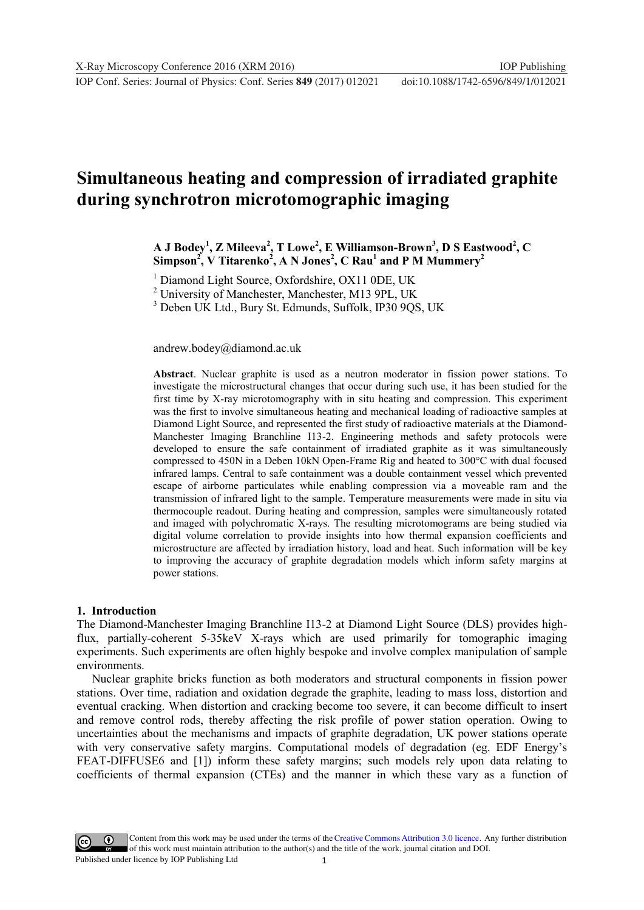**1234567890** IOP Conf. Series: Journal of Physics: Conf. Series **849** (2017) 012021 doi :10.1088/1742-6596/849/1/012021

# **Simultaneous heating and compression of irradiated graphite during synchrotron microtomographic imaging**

**A J Bodey<sup>1</sup> , Z Mileeva<sup>2</sup> , T Lowe<sup>2</sup> , E Williamson-Brown3 , D S Eastwood<sup>2</sup> , C Simpson<sup>2</sup> , V Titarenko<sup>2</sup> , A N Jones<sup>2</sup> , C Rau<sup>1</sup> and P M Mummery<sup>2</sup>**

<sup>1</sup> Diamond Light Source, Oxfordshire, OX11 0DE, UK

<sup>2</sup> University of Manchester, Manchester, M13 9PL, UK

3 Deben UK Ltd., Bury St. Edmunds, Suffolk, IP30 9QS, UK

andrew.bodey@diamond.ac.uk

**Abstract**. Nuclear graphite is used as a neutron moderator in fission power stations. To investigate the microstructural changes that occur during such use, it has been studied for the first time by X-ray microtomography with in situ heating and compression. This experiment was the first to involve simultaneous heating and mechanical loading of radioactive samples at Diamond Light Source, and represented the first study of radioactive materials at the Diamond-Manchester Imaging Branchline I13-2. Engineering methods and safety protocols were developed to ensure the safe containment of irradiated graphite as it was simultaneously compressed to 450N in a Deben 10kN Open-Frame Rig and heated to 300°C with dual focused infrared lamps. Central to safe containment was a double containment vessel which prevented escape of airborne particulates while enabling compression via a moveable ram and the transmission of infrared light to the sample. Temperature measurements were made in situ via thermocouple readout. During heating and compression, samples were simultaneously rotated and imaged with polychromatic X-rays. The resulting microtomograms are being studied via digital volume correlation to provide insights into how thermal expansion coefficients and microstructure are affected by irradiation history, load and heat. Such information will be key to improving the accuracy of graphite degradation models which inform safety margins at power stations.

#### **1. Introduction**

The Diamond-Manchester Imaging Branchline I13-2 at Diamond Light Source (DLS) provides highflux, partially-coherent 5-35keV X-rays which are used primarily for tomographic imaging experiments. Such experiments are often highly bespoke and involve complex manipulation of sample environments.

Nuclear graphite bricks function as both moderators and structural components in fission power stations. Over time, radiation and oxidation degrade the graphite, leading to mass loss, distortion and eventual cracking. When distortion and cracking become too severe, it can become difficult to insert and remove control rods, thereby affecting the risk profile of power station operation. Owing to uncertainties about the mechanisms and impacts of graphite degradation, UK power stations operate with very conservative safety margins. Computational models of degradation (eg. EDF Energy's FEAT-DIFFUSE6 and [1]) inform these safety margins; such models rely upon data relating to coefficients of thermal expansion (CTEs) and the manner in which these vary as a function of

1 Content from this work may be used under the terms of the [Creative Commons Attribution 3.0 licence.](http://creativecommons.org/licenses/by/3.0) Any further distribution of this work must maintain attribution to the author(s) and the title of the work, journal citation and DOI. Published under licence by IOP Publishing Ltd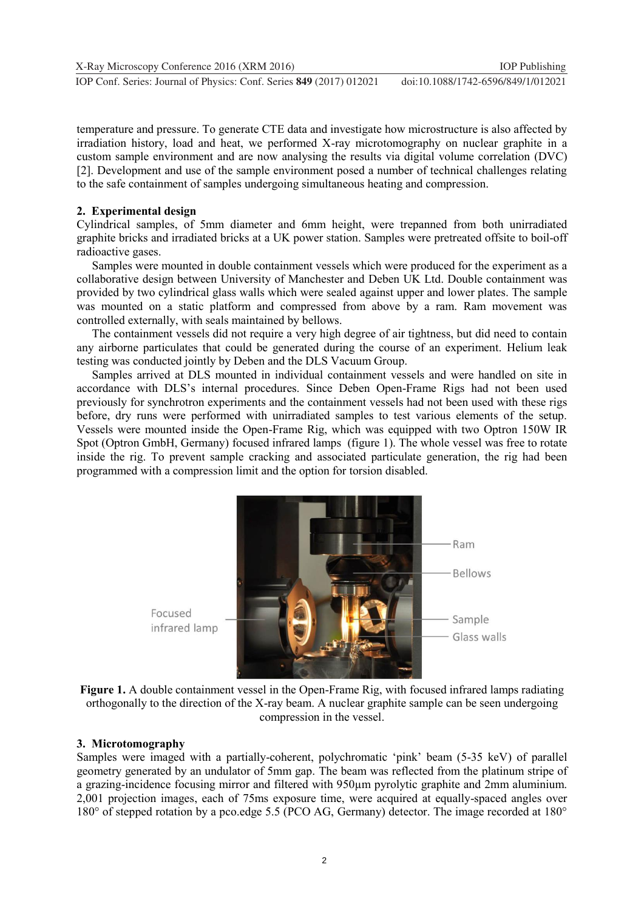temperature and pressure. To generate CTE data and investigate how microstructure is also affected by irradiation history, load and heat, we performed X-ray microtomography on nuclear graphite in a custom sample environment and are now analysing the results via digital volume correlation (DVC) [2]. Development and use of the sample environment posed a number of technical challenges relating to the safe containment of samples undergoing simultaneous heating and compression.

## **2. Experimental design**

Cylindrical samples, of 5mm diameter and 6mm height, were trepanned from both unirradiated graphite bricks and irradiated bricks at a UK power station. Samples were pretreated offsite to boil-off radioactive gases.

Samples were mounted in double containment vessels which were produced for the experiment as a collaborative design between University of Manchester and Deben UK Ltd. Double containment was provided by two cylindrical glass walls which were sealed against upper and lower plates. The sample was mounted on a static platform and compressed from above by a ram. Ram movement was controlled externally, with seals maintained by bellows.

The containment vessels did not require a very high degree of air tightness, but did need to contain any airborne particulates that could be generated during the course of an experiment. Helium leak testing was conducted jointly by Deben and the DLS Vacuum Group.

Samples arrived at DLS mounted in individual containment vessels and were handled on site in accordance with DLS's internal procedures. Since Deben Open-Frame Rigs had not been used previously for synchrotron experiments and the containment vessels had not been used with these rigs before, dry runs were performed with unirradiated samples to test various elements of the setup. Vessels were mounted inside the Open-Frame Rig, which was equipped with two Optron 150W IR Spot (Optron GmbH, Germany) focused infrared lamps (figure 1). The whole vessel was free to rotate inside the rig. To prevent sample cracking and associated particulate generation, the rig had been programmed with a compression limit and the option for torsion disabled.



**Figure 1.** A double containment vessel in the Open-Frame Rig, with focused infrared lamps radiating orthogonally to the direction of the X-ray beam. A nuclear graphite sample can be seen undergoing compression in the vessel.

### **3. Microtomography**

Samples were imaged with a partially-coherent, polychromatic 'pink' beam (5-35 keV) of parallel geometry generated by an undulator of 5mm gap. The beam was reflected from the platinum stripe of a grazing-incidence focusing mirror and filtered with 950µm pyrolytic graphite and 2mm aluminium. 2,001 projection images, each of 75ms exposure time, were acquired at equally-spaced angles over 180° of stepped rotation by a pco.edge 5.5 (PCO AG, Germany) detector. The image recorded at 180°